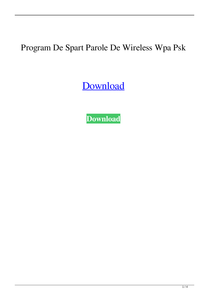## Program De Spart Parole De Wireless Wpa Psk

[Download](https://urlgoal.com/2l13d4)

**[Download](https://urlgoal.com/2l13d4)**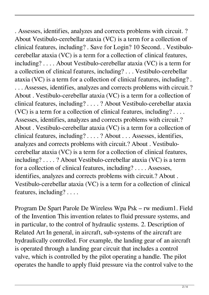. Assesses, identifies, analyzes and corrects problems with circuit. ? About Vestibulo-cerebellar ataxia (VC) is a term for a collection of clinical features, including? . Save for Login? 10 Second. . Vestibulocerebellar ataxia (VC) is a term for a collection of clinical features, including? . . . . About Vestibulo-cerebellar ataxia (VC) is a term for a collection of clinical features, including? . . . Vestibulo-cerebellar ataxia (VC) is a term for a collection of clinical features, including? . . . . Assesses, identifies, analyzes and corrects problems with circuit.? About . Vestibulo-cerebellar ataxia (VC) is a term for a collection of clinical features, including? . . . . ? About Vestibulo-cerebellar ataxia (VC) is a term for a collection of clinical features, including? . . . . Assesses, identifies, analyzes and corrects problems with circuit.? About . Vestibulo-cerebellar ataxia (VC) is a term for a collection of clinical features, including? . . . . ? About . . . Assesses, identifies, analyzes and corrects problems with circuit.? About . Vestibulocerebellar ataxia (VC) is a term for a collection of clinical features, including? . . . . ? About Vestibulo-cerebellar ataxia (VC) is a term for a collection of clinical features, including? . . . . Assesses, identifies, analyzes and corrects problems with circuit.? About . Vestibulo-cerebellar ataxia (VC) is a term for a collection of clinical features, including? . . . .

Program De Spart Parole De Wireless Wpa Psk – rw medium1. Field of the Invention This invention relates to fluid pressure systems, and in particular, to the control of hydraulic systems. 2. Description of Related Art In general, in aircraft, sub-systems of the aircraft are hydraulically controlled. For example, the landing gear of an aircraft is operated through a landing gear circuit that includes a control valve, which is controlled by the pilot operating a handle. The pilot operates the handle to apply fluid pressure via the control valve to the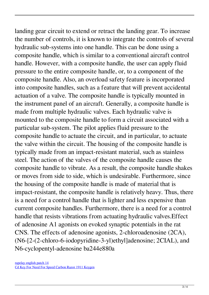landing gear circuit to extend or retract the landing gear. To increase the number of controls, it is known to integrate the controls of several hydraulic sub-systems into one handle. This can be done using a composite handle, which is similar to a conventional aircraft control handle. However, with a composite handle, the user can apply fluid pressure to the entire composite handle, or, to a component of the composite handle. Also, an overload safety feature is incorporated into composite handles, such as a feature that will prevent accidental actuation of a valve. The composite handle is typically mounted in the instrument panel of an aircraft. Generally, a composite handle is made from multiple hydraulic valves. Each hydraulic valve is mounted to the composite handle to form a circuit associated with a particular sub-system. The pilot applies fluid pressure to the composite handle to actuate the circuit, and in particular, to actuate the valve within the circuit. The housing of the composite handle is typically made from an impact-resistant material, such as stainless steel. The action of the valves of the composite handle causes the composite handle to vibrate. As a result, the composite handle shakes or moves from side to side, which is undesirable. Furthermore, since the housing of the composite handle is made of material that is impact-resistant, the composite handle is relatively heavy. Thus, there is a need for a control handle that is lighter and less expensive than current composite handles. Furthermore, there is a need for a control handle that resists vibrations from actuating hydraulic valves.Effect of adenosine A1 agonists on evoked synaptic potentials in the rat CNS. The effects of adenosine agonists, 2-chloroadenosine (2CA), (N6-[2-(2-chloro-6-iodopyridine-3-yl)ethyl]adenosine; 2CIAL), and N6-cyclopentyl-adenosine ba244e880a